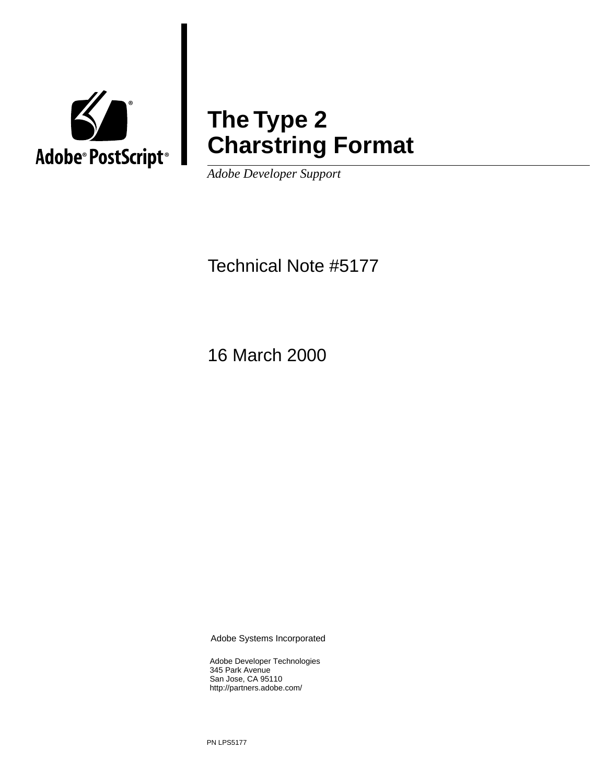

## **The Type 2 Charstring Format**

*Adobe Developer Support*

Technical Note #5177

16 March 2000

Adobe Systems Incorporated

Adobe Developer Technologies 345 Park Avenue San Jose, CA 95110 http://partners.adobe.com/

PN LPS5177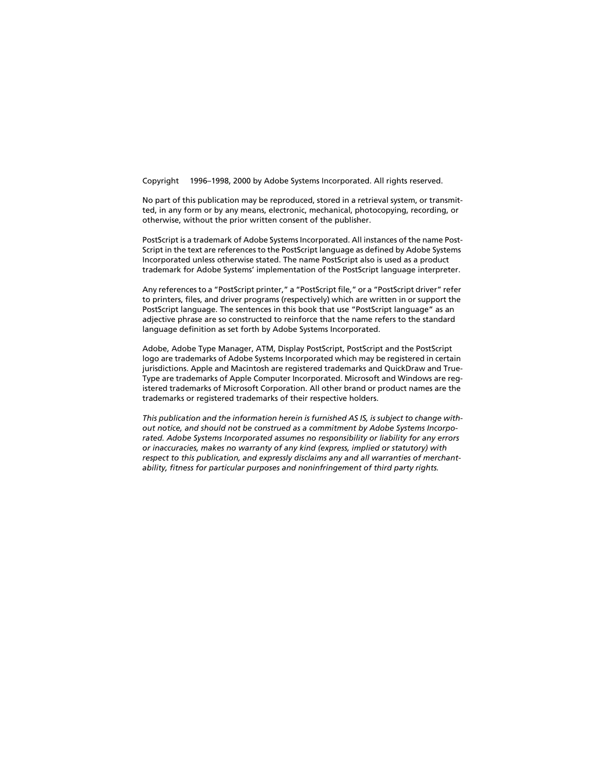Copyright © 1996–1998, 2000 by Adobe Systems Incorporated. All rights reserved.

No part of this publication may be reproduced, stored in a retrieval system, or transmitted, in any form or by any means, electronic, mechanical, photocopying, recording, or otherwise, without the prior written consent of the publisher.

PostScript is a trademark of Adobe Systems Incorporated. All instances of the name Post-Script in the text are references to the PostScript language as defined by Adobe Systems Incorporated unless otherwise stated. The name PostScript also is used as a product trademark for Adobe Systems' implementation of the PostScript language interpreter.

Any references to a "PostScript printer," a "PostScript file," or a "PostScript driver" refer to printers, files, and driver programs (respectively) which are written in or support the PostScript language. The sentences in this book that use "PostScript language" as an adjective phrase are so constructed to reinforce that the name refers to the standard language definition as set forth by Adobe Systems Incorporated.

Adobe, Adobe Type Manager, ATM, Display PostScript, PostScript and the PostScript logo are trademarks of Adobe Systems Incorporated which may be registered in certain jurisdictions. Apple and Macintosh are registered trademarks and QuickDraw and True-Type are trademarks of Apple Computer Incorporated. Microsoft and Windows are registered trademarks of Microsoft Corporation. All other brand or product names are the trademarks or registered trademarks of their respective holders.

*This publication and the information herein is furnished AS IS, is subject to change without notice, and should not be construed as a commitment by Adobe Systems Incorporated. Adobe Systems Incorporated assumes no responsibility or liability for any errors or inaccuracies, makes no warranty of any kind (express, implied or statutory) with respect to this publication, and expressly disclaims any and all warranties of merchantability, fitness for particular purposes and noninfringement of third party rights.*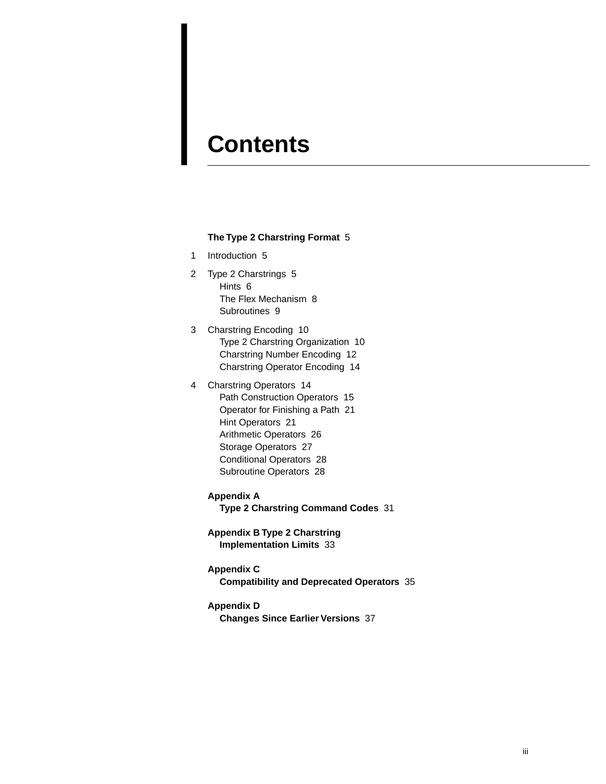## **Contents**

#### **[The Type 2 Charstring Format](#page-4-0)** 5

- [1 Introduction 5](#page-4-1)
- [2 Type 2 Charstrings 5](#page-4-2) [Hints 6](#page-5-0) [The Flex Mechanism 8](#page-7-0) [Subroutines 9](#page-8-0)
- [3 Charstring Encoding 10](#page-9-0) [Type 2 Charstring Organization 10](#page-9-1) [Charstring Number Encoding 12](#page-11-0) [Charstring Operator Encoding 14](#page-13-0)
- [4 Charstring Operators 14](#page-13-1) [Path Construction Operators 15](#page-14-0) [Operator for Finishing a Path 21](#page-20-0) [Hint Operators 21](#page-20-1) [Arithmetic Operators 26](#page-25-0) [Storage Operators 27](#page-26-0) [Conditional Operators 28](#page-27-0) [Subroutine Operators 28](#page-27-1)
	- **Appendix A**

**[Type 2 Charstring Command Codes](#page-30-0)** 31

- **[Appendix B Type 2 Charstring](#page-32-0) Implementation Limits** 33
- **Appendix C**
	- **[Compatibility and Deprecated Operators](#page-34-0)** 35
- **Appendix D**

**[Changes Since Earlier Versions](#page-36-0)** 37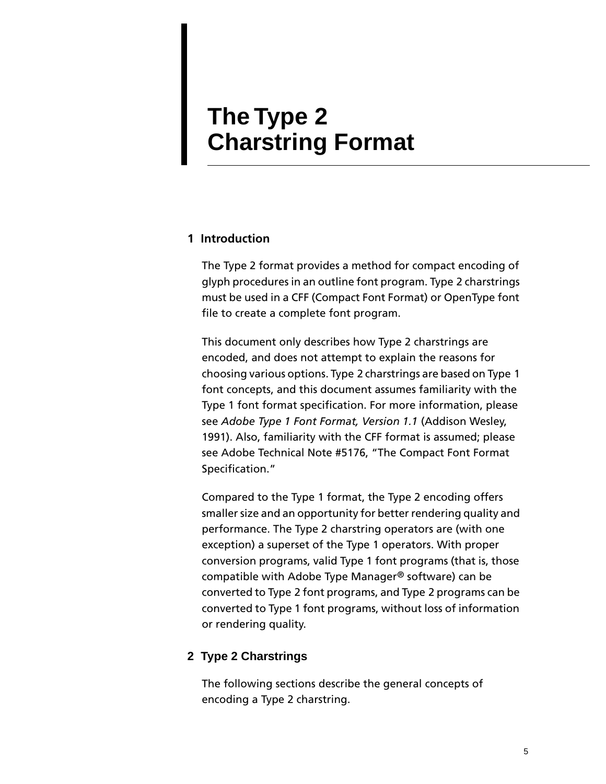## <span id="page-4-0"></span>**The Type 2 Charstring Format**

### <span id="page-4-1"></span>**1 Introduction**

The Type 2 format provides a method for compact encoding of glyph procedures in an outline font program. Type 2 charstrings must be used in a CFF (Compact Font Format) or OpenType font file to create a complete font program.

This document only describes how Type 2 charstrings are encoded, and does not attempt to explain the reasons for choosing various options. Type 2 charstrings are based on Type 1 font concepts, and this document assumes familiarity with the Type 1 font format specification. For more information, please see *Adobe Type 1 Font Format, Version 1.1* (Addison Wesley, 1991). Also, familiarity with the CFF format is assumed; please see Adobe Technical Note #5176, "The Compact Font Format Specification."

Compared to the Type 1 format, the Type 2 encoding offers smaller size and an opportunity for better rendering quality and performance. The Type 2 charstring operators are (with one exception) a superset of the Type 1 operators. With proper conversion programs, valid Type 1 font programs (that is, those compatible with Adobe Type Manager® software) can be converted to Type 2 font programs, and Type 2 programs can be converted to Type 1 font programs, without loss of information or rendering quality.

#### <span id="page-4-2"></span>**2 Type 2 Charstrings**

The following sections describe the general concepts of encoding a Type 2 charstring.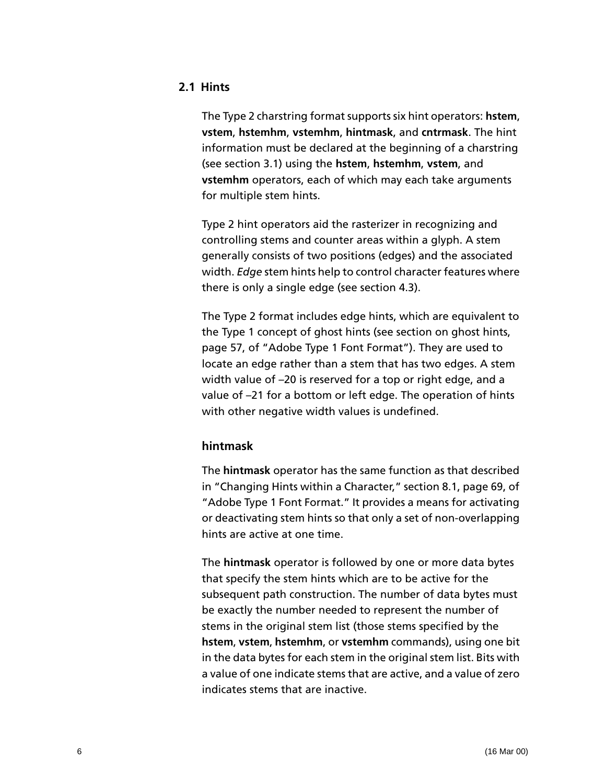### <span id="page-5-0"></span>**2.1 Hints**

The Type 2 charstring format supports six hint operators: **hstem**, **vstem**, **hstemhm**, **vstemhm**, **hintmask**, and **cntrmask**. The hint information must be declared at the beginning of a charstring (see [section 3.1\)](#page-9-1) using the **hstem**, **hstemhm**, **vstem**, and **vstemhm** operators, each of which may each take arguments for multiple stem hints.

Type 2 hint operators aid the rasterizer in recognizing and controlling stems and counter areas within a glyph. A stem generally consists of two positions (edges) and the associated width. *Edge* stem hints help to control character features where there is only a single edge (see [section 4.3\)](#page-20-1).

The Type 2 format includes edge hints, which are equivalent to the Type 1 concept of ghost hints (see section on ghost hints, page 57, of "Adobe Type 1 Font Format"). They are used to locate an edge rather than a stem that has two edges. A stem width value of –20 is reserved for a top or right edge, and a value of –21 for a bottom or left edge. The operation of hints with other negative width values is undefined.

#### **hintmask**

The **hintmask** operator has the same function as that described in "Changing Hints within a Character," section 8.1, page 69, of "Adobe Type 1 Font Format." It provides a means for activating or deactivating stem hints so that only a set of non-overlapping hints are active at one time.

The **hintmask** operator is followed by one or more data bytes that specify the stem hints which are to be active for the subsequent path construction. The number of data bytes must be exactly the number needed to represent the number of stems in the original stem list (those stems specified by the **hstem**, **vstem**, **hstemhm**, or **vstemhm** commands), using one bit in the data bytes for each stem in the original stem list. Bits with a value of one indicate stems that are active, and a value of zero indicates stems that are inactive.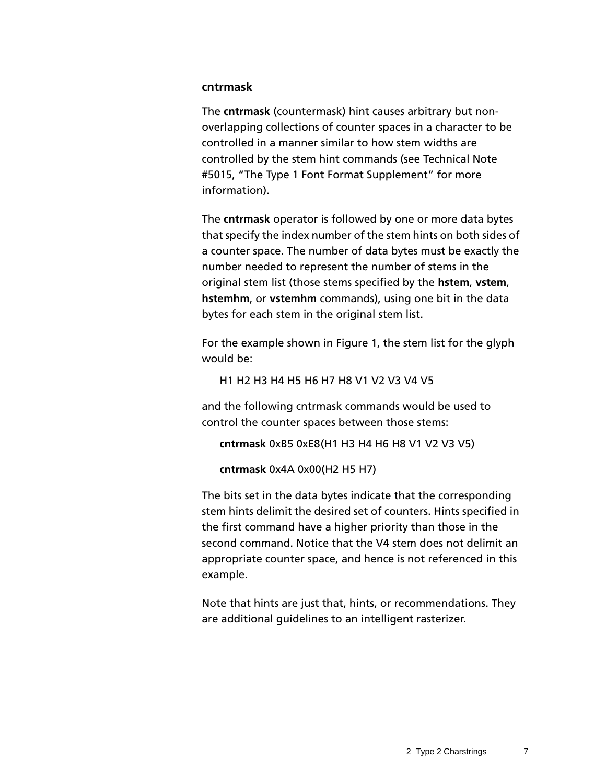#### **cntrmask**

The **cntrmask** (countermask) hint causes arbitrary but nonoverlapping collections of counter spaces in a character to be controlled in a manner similar to how stem widths are controlled by the stem hint commands (see Technical Note #5015, "The Type 1 Font Format Supplement" for more information).

The **cntrmask** operator is followed by one or more data bytes that specify the index number of the stem hints on both sides of a counter space. The number of data bytes must be exactly the number needed to represent the number of stems in the original stem list (those stems specified by the **hstem**, **vstem**, **hstemhm**, or **vstemhm** commands), using one bit in the data bytes for each stem in the original stem list.

For the example shown in [Figure 1](#page-7-1), the stem list for the glyph would be:

H1 H2 H3 H4 H5 H6 H7 H8 V1 V2 V3 V4 V5

and the following cntrmask commands would be used to control the counter spaces between those stems:

```
cntrmask 0xB5 0xE8(H1 H3 H4 H6 H8 V1 V2 V3 V5)
```

```
cntrmask 0x4A 0x00(H2 H5 H7)
```
The bits set in the data bytes indicate that the corresponding stem hints delimit the desired set of counters. Hints specified in the first command have a higher priority than those in the second command. Notice that the V4 stem does not delimit an appropriate counter space, and hence is not referenced in this example.

Note that hints are just that, hints, or recommendations. They are additional guidelines to an intelligent rasterizer.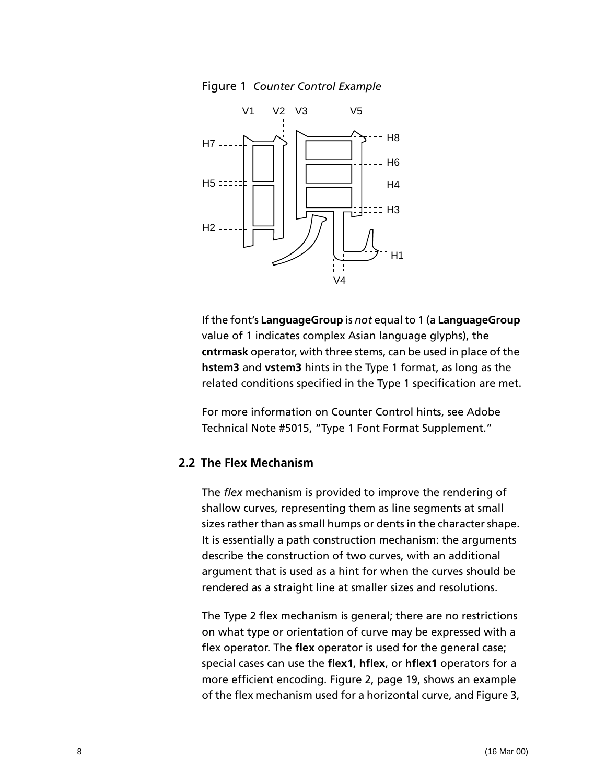Figure 1 *Counter Control Example*

<span id="page-7-1"></span>

If the font's **LanguageGroup** is *not* equal to 1 (a **LanguageGroup** value of 1 indicates complex Asian language glyphs), the **cntrmask** operator, with three stems, can be used in place of the **hstem3** and **vstem3** hints in the Type 1 format, as long as the related conditions specified in the Type 1 specification are met.

For more information on Counter Control hints, see Adobe Technical Note #5015, "Type 1 Font Format Supplement."

#### <span id="page-7-0"></span>**2.2 The Flex Mechanism**

The *flex* mechanism is provided to improve the rendering of shallow curves, representing them as line segments at small sizes rather than as small humps or dents in the character shape. It is essentially a path construction mechanism: the arguments describe the construction of two curves, with an additional argument that is used as a hint for when the curves should be rendered as a straight line at smaller sizes and resolutions.

The Type 2 flex mechanism is general; there are no restrictions on what type or orientation of curve may be expressed with a flex operator. The **flex** operator is used for the general case; special cases can use the **flex1**, **hflex**, or **hflex1** operators for a more efficient encoding. [Figure 2, page 19](#page-18-0), shows an example of the flex mechanism used for a horizontal curve, and [Figure 3,](#page-19-0)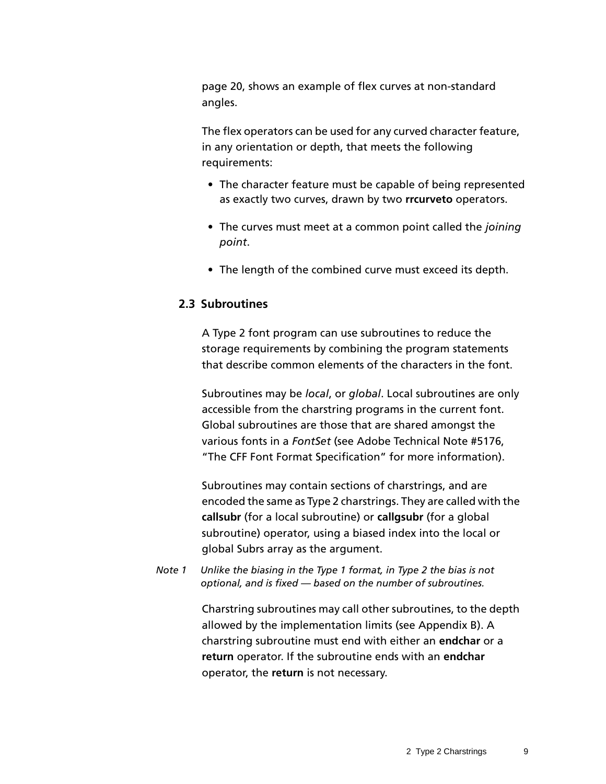[page 20,](#page-19-0) shows an example of flex curves at non-standard angles.

The flex operators can be used for any curved character feature, in any orientation or depth, that meets the following requirements:

- The character feature must be capable of being represented as exactly two curves, drawn by two **rrcurveto** operators.
- The curves must meet at a common point called the *joining point*.
- The length of the combined curve must exceed its depth.

### <span id="page-8-0"></span>**2.3 Subroutines**

A Type 2 font program can use subroutines to reduce the storage requirements by combining the program statements that describe common elements of the characters in the font.

Subroutines may be *local*, or *global*. Local subroutines are only accessible from the charstring programs in the current font. Global subroutines are those that are shared amongst the various fonts in a *FontSet* (see Adobe Technical Note #5176, "The CFF Font Format Specification" for more information).

Subroutines may contain sections of charstrings, and are encoded the same as Type 2 charstrings. They are called with the **callsubr** (for a local subroutine) or **callgsubr** (for a global subroutine) operator, using a biased index into the local or global Subrs array as the argument.

*Note 1 Unlike the biasing in the Type 1 format, in Type 2 the bias is not optional, and is fixed — based on the number of subroutines.*

> Charstring subroutines may call other subroutines, to the depth allowed by the implementation limits (see Appendix B). A charstring subroutine must end with either an **endchar** or a **return** operator. If the subroutine ends with an **endchar** operator, the **return** is not necessary.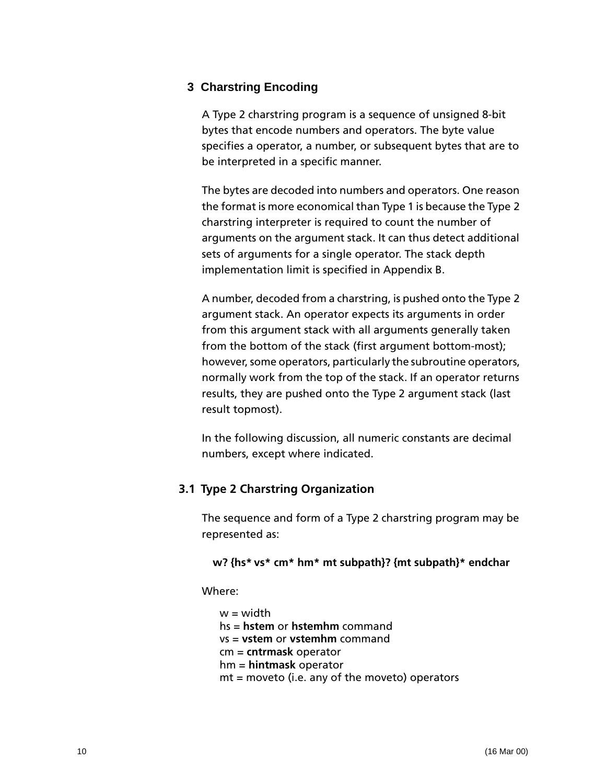#### <span id="page-9-0"></span>**3 Charstring Encoding**

A Type 2 charstring program is a sequence of unsigned 8-bit bytes that encode numbers and operators. The byte value specifies a operator, a number, or subsequent bytes that are to be interpreted in a specific manner.

The bytes are decoded into numbers and operators. One reason the format is more economical than Type 1 is because the Type 2 charstring interpreter is required to count the number of arguments on the argument stack. It can thus detect additional sets of arguments for a single operator. The stack depth implementation limit is specified in Appendix B.

A number, decoded from a charstring, is pushed onto the Type 2 argument stack. An operator expects its arguments in order from this argument stack with all arguments generally taken from the bottom of the stack (first argument bottom-most); however, some operators, particularly the subroutine operators, normally work from the top of the stack. If an operator returns results, they are pushed onto the Type 2 argument stack (last result topmost).

In the following discussion, all numeric constants are decimal numbers, except where indicated.

#### <span id="page-9-1"></span>**3.1 Type 2 Charstring Organization**

The sequence and form of a Type 2 charstring program may be represented as:

#### **w? {hs\* vs\* cm\* hm\* mt subpath}? {mt subpath}\* endchar**

Where:

 $w = width$ hs = **hstem** or **hstemhm** command vs = **vstem** or **vstemhm** command cm = **cntrmask** operator hm = **hintmask** operator mt = moveto (i.e. any of the moveto) operators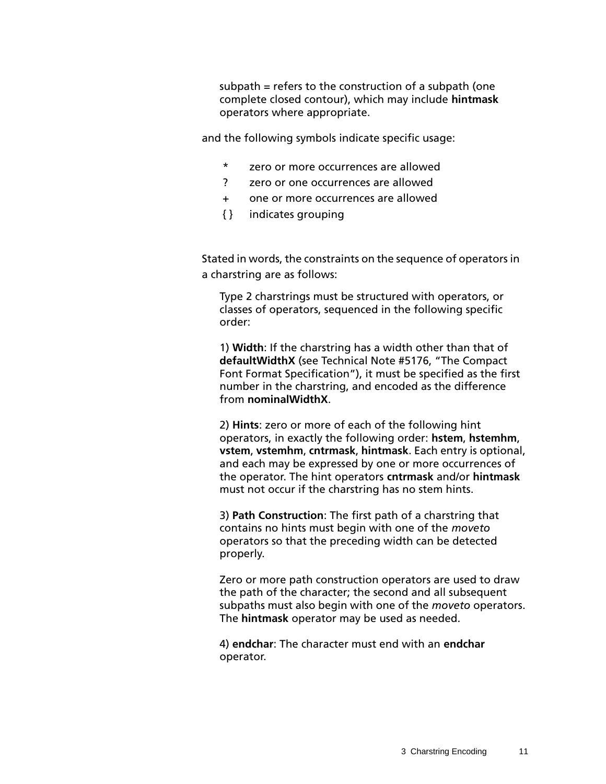subpath = refers to the construction of a subpath (one complete closed contour), which may include **hintmask** operators where appropriate.

and the following symbols indicate specific usage:

- \* zero or more occurrences are allowed
- ? zero or one occurrences are allowed
- + one or more occurrences are allowed
- { } indicates grouping

Stated in words, the constraints on the sequence of operators in a charstring are as follows:

Type 2 charstrings must be structured with operators, or classes of operators, sequenced in the following specific order:

1) **Width**: If the charstring has a width other than that of **defaultWidthX** (see Technical Note #5176, "The Compact Font Format Specification"), it must be specified as the first number in the charstring, and encoded as the difference from **nominalWidthX**.

2) **Hints**: zero or more of each of the following hint operators, in exactly the following order: **hstem**, **hstemhm**, **vstem**, **vstemhm**, **cntrmask**, **hintmask**. Each entry is optional, and each may be expressed by one or more occurrences of the operator. The hint operators **cntrmask** and/or **hintmask** must not occur if the charstring has no stem hints.

3) **Path Construction**: The first path of a charstring that contains no hints must begin with one of the *moveto* operators so that the preceding width can be detected properly.

Zero or more path construction operators are used to draw the path of the character; the second and all subsequent subpaths must also begin with one of the *moveto* operators. The **hintmask** operator may be used as needed.

4) **endchar**: The character must end with an **endchar** operator.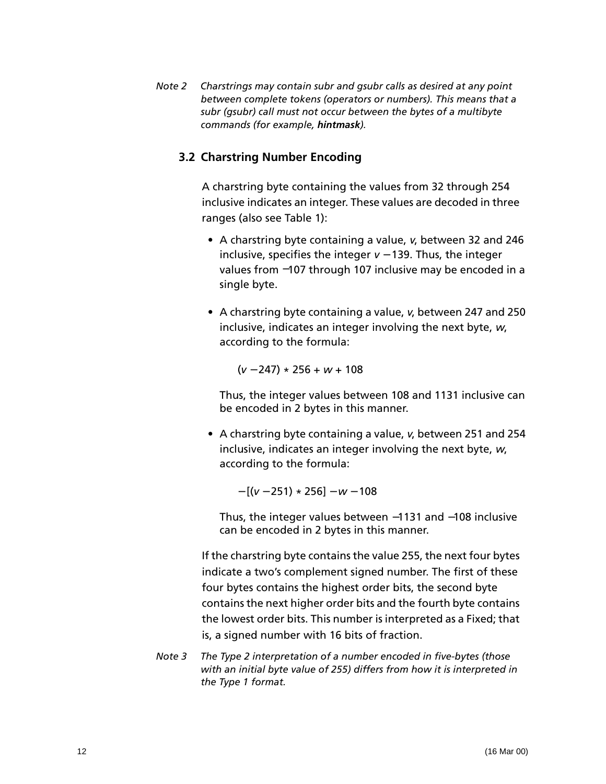*Note 2 Charstrings may contain subr and gsubr calls as desired at any point between complete tokens (operators or numbers). This means that a subr (gsubr) call must not occur between the bytes of a multibyte commands (for example, hintmask).*

#### <span id="page-11-0"></span>**3.2 Charstring Number Encoding**

A charstring byte containing the values from 32 through 254 inclusive indicates an integer. These values are decoded in three ranges (also see [Table 1](#page-12-0)):

- A charstring byte containing a value, *v*, between 32 and 246 inclusive, specifies the integer *v* − 139. Thus, the integer values from −107 through 107 inclusive may be encoded in a single byte.
- A charstring byte containing a value, *v*, between 247 and 250 inclusive, indicates an integer involving the next byte, *w*, according to the formula:

(*v* − 247) \* 256 + *w* + 108

Thus, the integer values between 108 and 1131 inclusive can be encoded in 2 bytes in this manner.

• A charstring byte containing a value, *v*, between 251 and 254 inclusive, indicates an integer involving the next byte, *w*, according to the formula:

− [(*v* − 251) \* 256] − *w* − 108

Thus, the integer values between −1131 and −108 inclusive can be encoded in 2 bytes in this manner.

If the charstring byte contains the value 255, the next four bytes indicate a two's complement signed number. The first of these four bytes contains the highest order bits, the second byte contains the next higher order bits and the fourth byte contains the lowest order bits. This number is interpreted as a Fixed; that is, a signed number with 16 bits of fraction.

*Note 3 The Type 2 interpretation of a number encoded in five-bytes (those with an initial byte value of 255) differs from how it is interpreted in the Type 1 format.*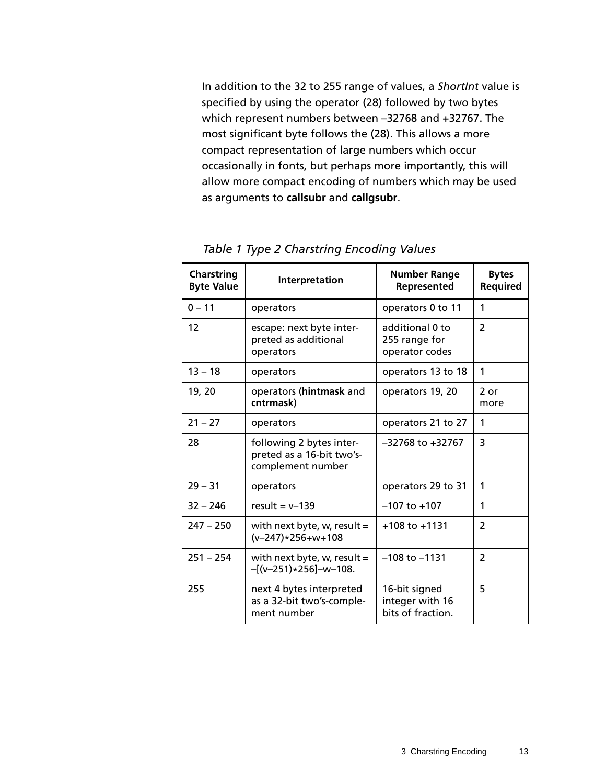In addition to the 32 to 255 range of values, a *ShortInt* value is specified by using the operator (28) followed by two bytes which represent numbers between –32768 and +32767. The most significant byte follows the (28). This allows a more compact representation of large numbers which occur occasionally in fonts, but perhaps more importantly, this will allow more compact encoding of numbers which may be used as arguments to **callsubr** and **callgsubr**.

<span id="page-12-0"></span>

| <b>Charstring</b><br><b>Byte Value</b> | Interpretation                                                             | <b>Number Range</b><br>Represented                    | <b>Bytes</b><br>Required |
|----------------------------------------|----------------------------------------------------------------------------|-------------------------------------------------------|--------------------------|
| $0 - 11$                               | operators                                                                  | operators 0 to 11                                     | 1                        |
| 12                                     | escape: next byte inter-<br>preted as additional<br>operators              | additional 0 to<br>255 range for<br>operator codes    | $\overline{2}$           |
| $13 - 18$                              | operators                                                                  | operators 13 to 18                                    | 1                        |
| 19, 20                                 | operators (hintmask and<br>cntrmask)                                       | operators 19, 20                                      | $2$ or<br>more           |
| $21 - 27$                              | operators                                                                  | operators 21 to 27                                    | 1                        |
| 28                                     | following 2 bytes inter-<br>preted as a 16-bit two's-<br>complement number | $-32768$ to $+32767$                                  | 3                        |
| $29 - 31$                              | operators                                                                  | operators 29 to 31                                    | 1                        |
| $32 - 246$                             | result = $v-139$                                                           | $-107$ to $+107$                                      | 1                        |
| $247 - 250$                            | with next byte, w, result $=$<br>$(v-247)*256+w+108$                       | $+108$ to $+1131$                                     | 2                        |
| $251 - 254$                            | with next byte, w, result =<br>$-[({v-251}) \times 256] - {w-108}.$        | $-108$ to $-1131$                                     | $\overline{2}$           |
| 255                                    | next 4 bytes interpreted<br>as a 32-bit two's-comple-<br>ment number       | 16-bit signed<br>integer with 16<br>bits of fraction. | 5                        |

*Table 1 Type 2 Charstring Encoding Values*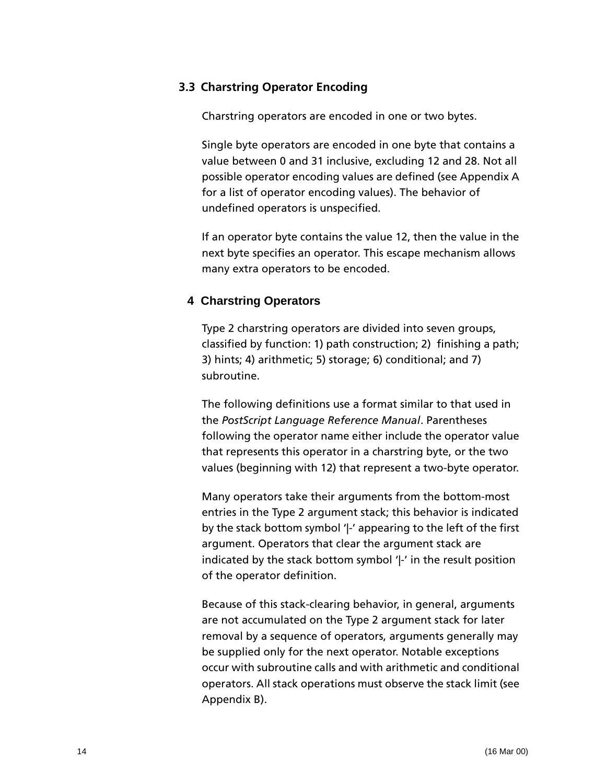#### <span id="page-13-0"></span>**3.3 Charstring Operator Encoding**

Charstring operators are encoded in one or two bytes.

Single byte operators are encoded in one byte that contains a value between 0 and 31 inclusive, excluding 12 and 28. Not all possible operator encoding values are defined (see Appendix A for a list of operator encoding values). The behavior of undefined operators is unspecified.

If an operator byte contains the value 12, then the value in the next byte specifies an operator. This escape mechanism allows many extra operators to be encoded.

#### <span id="page-13-1"></span>**4 Charstring Operators**

Type 2 charstring operators are divided into seven groups, classified by function: 1) path construction; 2) finishing a path; 3) hints; 4) arithmetic; 5) storage; 6) conditional; and 7) subroutine.

The following definitions use a format similar to that used in the *PostScript Language Reference Manual*. Parentheses following the operator name either include the operator value that represents this operator in a charstring byte, or the two values (beginning with 12) that represent a two-byte operator.

Many operators take their arguments from the bottom-most entries in the Type 2 argument stack; this behavior is indicated by the stack bottom symbol '|-' appearing to the left of the first argument. Operators that clear the argument stack are indicated by the stack bottom symbol '|-' in the result position of the operator definition.

Because of this stack-clearing behavior, in general, arguments are not accumulated on the Type 2 argument stack for later removal by a sequence of operators, arguments generally may be supplied only for the next operator. Notable exceptions occur with subroutine calls and with arithmetic and conditional operators. All stack operations must observe the stack limit (see Appendix B).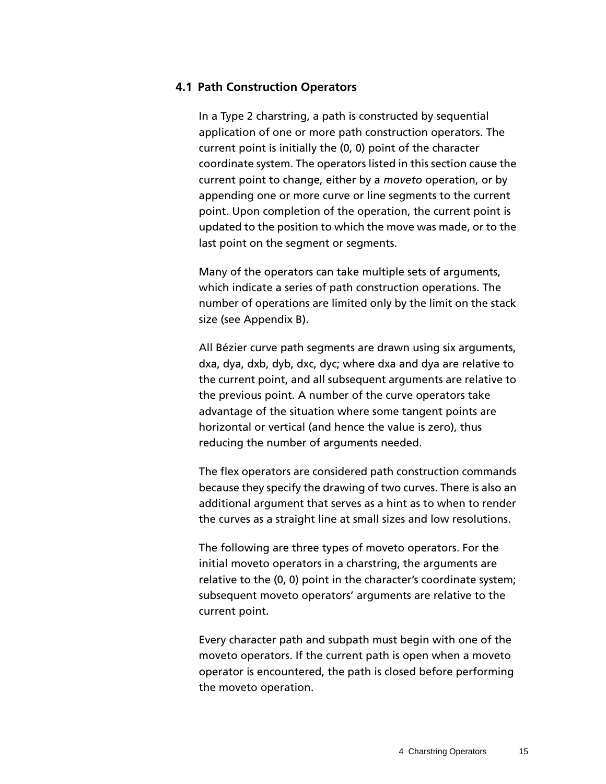#### <span id="page-14-0"></span>**4.1 Path Construction Operators**

In a Type 2 charstring, a path is constructed by sequential application of one or more path construction operators. The current point is initially the (0, 0) point of the character coordinate system. The operators listed in this section cause the current point to change, either by a *moveto* operation, or by appending one or more curve or line segments to the current point. Upon completion of the operation, the current point is updated to the position to which the move was made, or to the last point on the segment or segments.

Many of the operators can take multiple sets of arguments, which indicate a series of path construction operations. The number of operations are limited only by the limit on the stack size (see Appendix B).

All Bézier curve path segments are drawn using six arguments, dxa, dya, dxb, dyb, dxc, dyc; where dxa and dya are relative to the current point, and all subsequent arguments are relative to the previous point. A number of the curve operators take advantage of the situation where some tangent points are horizontal or vertical (and hence the value is zero), thus reducing the number of arguments needed.

The flex operators are considered path construction commands because they specify the drawing of two curves. There is also an additional argument that serves as a hint as to when to render the curves as a straight line at small sizes and low resolutions.

The following are three types of moveto operators. For the initial moveto operators in a charstring, the arguments are relative to the (0, 0) point in the character's coordinate system; subsequent moveto operators' arguments are relative to the current point.

Every character path and subpath must begin with one of the moveto operators. If the current path is open when a moveto operator is encountered, the path is closed before performing the moveto operation.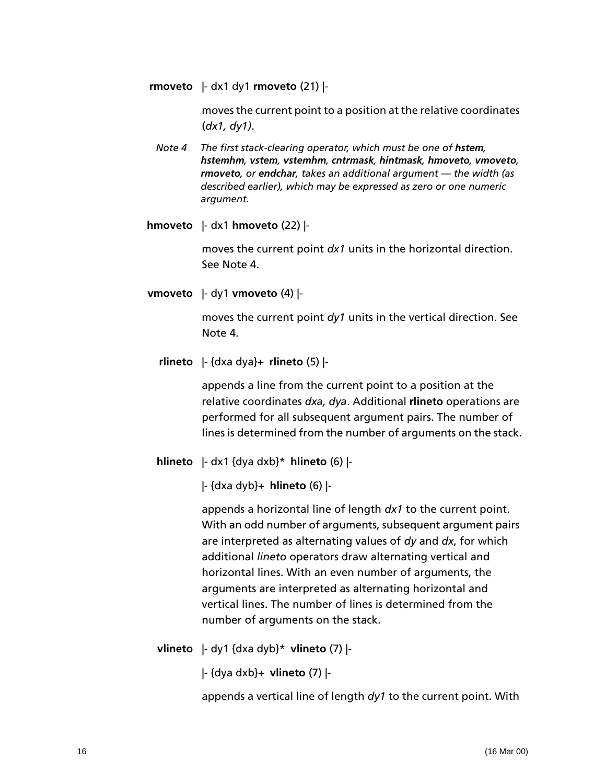**rmoveto** |- dx1 dy1 **rmoveto** (21) |-

moves the current point to a position at the relative coordinates (*dx1, dy1)*.

*Note 4* The first stack-clearing operator, which must be one of **hstem**, *hstemhm, vstem, vstemhm, cntrmask, hintmask, hmoveto, vmoveto, rmoveto, or endchar, takes an additional argument — the width (as described earlier), which may be expressed as zero or one numeric argument.*

**hmoveto** |- dx1 **hmoveto** (22) |-

moves the current point *dx1* units in the horizontal direction. See Note 4.

**vmoveto** |- dy1 **vmoveto** (4) |-

moves the current point *dy1* units in the vertical direction. See Note 4.

**rlineto** |- {dxa dya}+ **rlineto** (5) |-

appends a line from the current point to a position at the relative coordinates *dxa, dya*. Additional **rlineto** operations are performed for all subsequent argument pairs. The number of lines is determined from the number of arguments on the stack.

**hlineto** |- dx1 {dya dxb}\* **hlineto** (6) |-

|- {dxa dyb}+ **hlineto** (6) |-

appends a horizontal line of length *dx1* to the current point. With an odd number of arguments, subsequent argument pairs are interpreted as alternating values of *dy* and *dx*, for which additional *lineto* operators draw alternating vertical and horizontal lines. With an even number of arguments, the arguments are interpreted as alternating horizontal and vertical lines. The number of lines is determined from the number of arguments on the stack.

**vlineto** |- dy1 {dxa dyb}\* **vlineto** (7) |-

|- {dya dxb}+ **vlineto** (7) |-

appends a vertical line of length *dy1* to the current point. With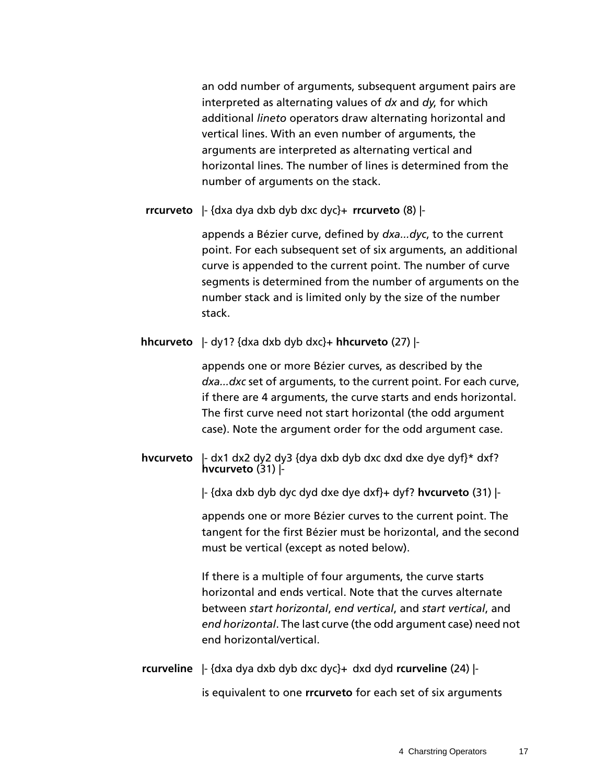an odd number of arguments, subsequent argument pairs are interpreted as alternating values of *dx* and *dy*, for which additional *lineto* operators draw alternating horizontal and vertical lines. With an even number of arguments, the arguments are interpreted as alternating vertical and horizontal lines. The number of lines is determined from the number of arguments on the stack.

**rrcurveto** |- {dxa dya dxb dyb dxc dyc}+ **rrcurveto** (8) |-

appends a Bézier curve, defined by *dxa...dyc*, to the current point. For each subsequent set of six arguments, an additional curve is appended to the current point. The number of curve segments is determined from the number of arguments on the number stack and is limited only by the size of the number stack.

**hhcurveto** |- dy1? {dxa dxb dyb dxc}+ **hhcurveto** (27) |-

appends one or more Bézier curves, as described by the *dxa...dxc* set of arguments, to the current point. For each curve, if there are 4 arguments, the curve starts and ends horizontal. The first curve need not start horizontal (the odd argument case). Note the argument order for the odd argument case.

**hvcurveto** |- dx1 dx2 dy2 dy3 {dya dxb dyb dxc dxd dxe dye dyf}\* dxf? **hvcurveto** (31) |-

|- {dxa dxb dyb dyc dyd dxe dye dxf}+ dyf? **hvcurveto** (31) |-

appends one or more Bézier curves to the current point. The tangent for the first Bézier must be horizontal, and the second must be vertical (except as noted below).

If there is a multiple of four arguments, the curve starts horizontal and ends vertical. Note that the curves alternate between *start horizontal*, *end vertical*, and *start vertical*, and *end horizontal*. The last curve (the odd argument case) need not end horizontal/vertical.

**rcurveline** |- {dxa dya dxb dyb dxc dyc}+ dxd dyd **rcurveline** (24) | is equivalent to one **rrcurveto** for each set of six arguments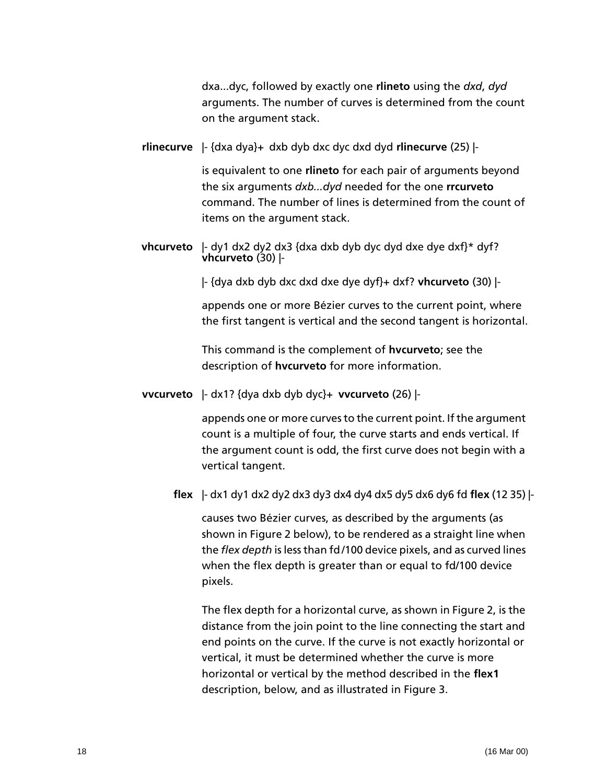dxa...dyc, followed by exactly one **rlineto** using the *dxd*, *dyd* arguments. The number of curves is determined from the count on the argument stack.

**rlinecurve** |- {dxa dya}+ dxb dyb dxc dyc dxd dyd **rlinecurve** (25) |-

is equivalent to one **rlineto** for each pair of arguments beyond the six arguments *dxb...dyd* needed for the one **rrcurveto** command. The number of lines is determined from the count of items on the argument stack.

**vhcurveto** |- dy1 dx2 dy2 dx3 {dxa dxb dyb dyc dyd dxe dye dxf}\* dyf? **vhcurveto** (30) |-

|- {dya dxb dyb dxc dxd dxe dye dyf}+ dxf? **vhcurveto** (30) |-

appends one or more Bézier curves to the current point, where the first tangent is vertical and the second tangent is horizontal.

This command is the complement of **hvcurveto**; see the description of **hvcurveto** for more information.

**vvcurveto** |- dx1? {dya dxb dyb dyc}+ **vvcurveto** (26) |-

appends one or more curves to the current point. If the argument count is a multiple of four, the curve starts and ends vertical. If the argument count is odd, the first curve does not begin with a vertical tangent.

**flex** |- dx1 dy1 dx2 dy2 dx3 dy3 dx4 dy4 dx5 dy5 dx6 dy6 fd **flex** (12 35) |-

causes two Bézier curves, as described by the arguments (as shown in [Figure 2](#page-18-0) below), to be rendered as a straight line when the *flex depth* is less than fd /100 device pixels, and as curved lines when the flex depth is greater than or equal to fd/100 device pixels.

The flex depth for a horizontal curve, as shown in [Figure 2,](#page-18-0) is the distance from the join point to the line connecting the start and end points on the curve. If the curve is not exactly horizontal or vertical, it must be determined whether the curve is more horizontal or vertical by the method described in the **flex1** description, below, and as illustrated in [Figure 3.](#page-19-0)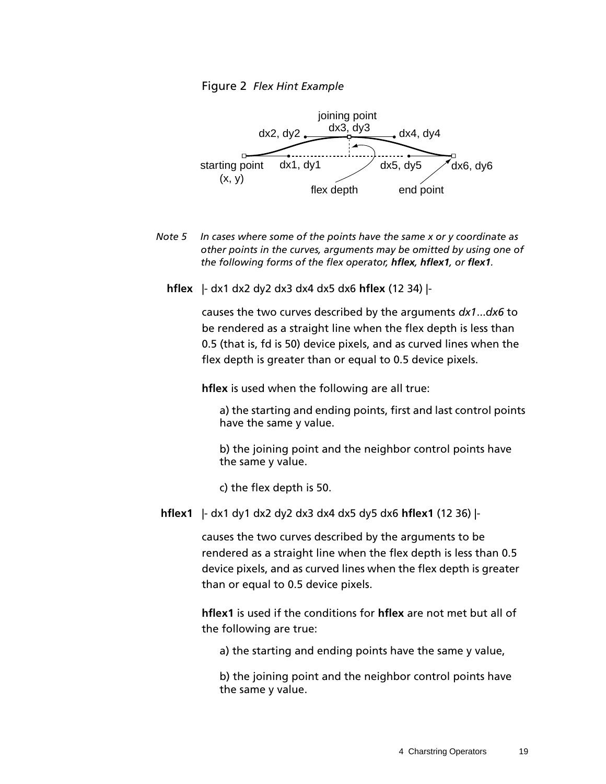<span id="page-18-0"></span>

- *Note 5 In cases where some of the points have the same x or y coordinate as other points in the curves, arguments may be omitted by using one of the following forms of the flex operator, hflex, hflex1, or flex1.*
	- **hflex** |- dx1 dx2 dy2 dx3 dx4 dx5 dx6 **hflex** (12 34) |-

causes the two curves described by the arguments *dx1*...*dx6* to be rendered as a straight line when the flex depth is less than 0.5 (that is, fd is 50) device pixels, and as curved lines when the flex depth is greater than or equal to 0.5 device pixels.

**hflex** is used when the following are all true:

a) the starting and ending points, first and last control points have the same y value.

b) the joining point and the neighbor control points have the same y value.

c) the flex depth is 50.

**hflex1** |- dx1 dy1 dx2 dy2 dx3 dx4 dx5 dy5 dx6 **hflex1** (12 36) |-

causes the two curves described by the arguments to be rendered as a straight line when the flex depth is less than 0.5 device pixels, and as curved lines when the flex depth is greater than or equal to 0.5 device pixels.

**hflex1** is used if the conditions for **hflex** are not met but all of the following are true:

a) the starting and ending points have the same y value,

b) the joining point and the neighbor control points have the same y value.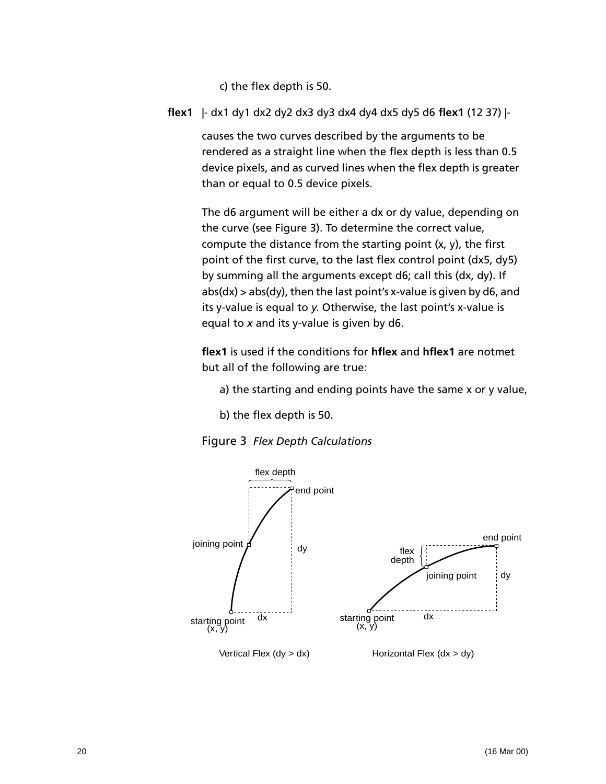c) the flex depth is 50.

**flex1** |- dx1 dy1 dx2 dy2 dx3 dy3 dx4 dy4 dx5 dy5 d6 **flex1** (12 37) |-

causes the two curves described by the arguments to be rendered as a straight line when the flex depth is less than 0.5 device pixels, and as curved lines when the flex depth is greater than or equal to 0.5 device pixels.

The d6 argument will be either a dx or dy value, depending on the curve (see [Figure 3\)](#page-19-0). To determine the correct value, compute the distance from the starting point (x, y), the first point of the first curve, to the last flex control point (dx5, dy5) by summing all the arguments except d6; call this (dx, dy). If  $abs(dx) > abs(dy)$ , then the last point's x-value is given by d6, and its y-value is equal to *y*. Otherwise, the last point's x-value is equal to *x* and its y-value is given by d6.

**flex1** is used if the conditions for **hflex** and **hflex1** are notmet but all of the following are true:

a) the starting and ending points have the same x or y value,

b) the flex depth is 50.



<span id="page-19-0"></span>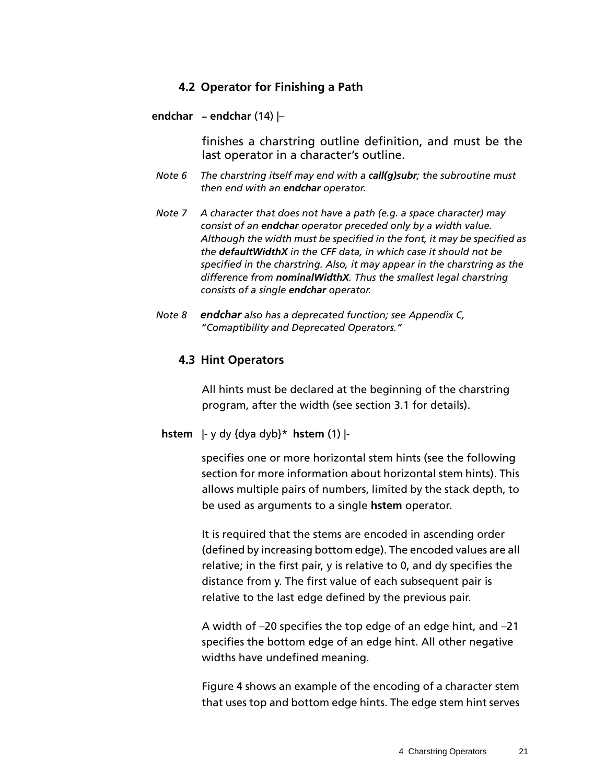### <span id="page-20-2"></span>**4.2 Operator for Finishing a Path**

#### <span id="page-20-0"></span>**endchar – endchar** (14) |–

finishes a charstring outline definition, and must be the last operator in a character's outline.

- *Note 6 The charstring itself may end with a call(g)subr; the subroutine must then end with an endchar operator.*
- *Note 7 A character that does not have a path (e.g. a space character) may consist of an endchar operator preceded only by a width value. Although the width must be specified in the font, it may be specified as the defaultWidthX in the CFF data, in which case it should not be specified in the charstring. Also, it may appear in the charstring as the difference from nominalWidthX. Thus the smallest legal charstring consists of a single endchar operator.*
- <span id="page-20-1"></span>*Note 8 endchar also has a deprecated function; see Appendix C, "Comaptibility and Deprecated Operators."*

#### **4.3 Hint Operators**

All hints must be declared at the beginning of the charstring program, after the width (see [section 3.1](#page-9-1) for details).

#### **hstem** |- y dy {dya dyb}\* **hstem** (1) |-

specifies one or more horizontal stem hints (see the following section for more information about horizontal stem hints). This allows multiple pairs of numbers, limited by the stack depth, to be used as arguments to a single **hstem** operator.

It is required that the stems are encoded in ascending order (defined by increasing bottom edge). The encoded values are all relative; in the first pair, y is relative to 0, and dy specifies the distance from y. The first value of each subsequent pair is relative to the last edge defined by the previous pair.

A width of –20 specifies the top edge of an edge hint, and –21 specifies the bottom edge of an edge hint. All other negative widths have undefined meaning.

[Figure 4](#page-21-0) shows an example of the encoding of a character stem that uses top and bottom edge hints. The edge stem hint serves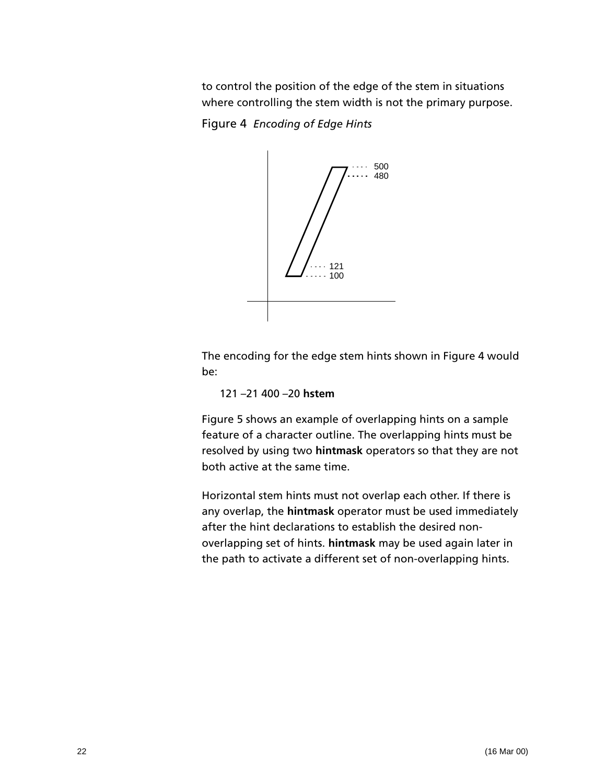to control the position of the edge of the stem in situations where controlling the stem width is not the primary purpose.

<span id="page-21-0"></span>Figure 4 *Encoding of Edge Hints*



The encoding for the edge stem hints shown in [Figure 4](#page-21-0) would be:

121 –21 400 –20 **hstem**

[Figure 5](#page-22-0) shows an example of overlapping hints on a sample feature of a character outline. The overlapping hints must be resolved by using two **hintmask** operators so that they are not both active at the same time.

Horizontal stem hints must not overlap each other. If there is any overlap, the **hintmask** operator must be used immediately after the hint declarations to establish the desired nonoverlapping set of hints. **hintmask** may be used again later in the path to activate a different set of non-overlapping hints.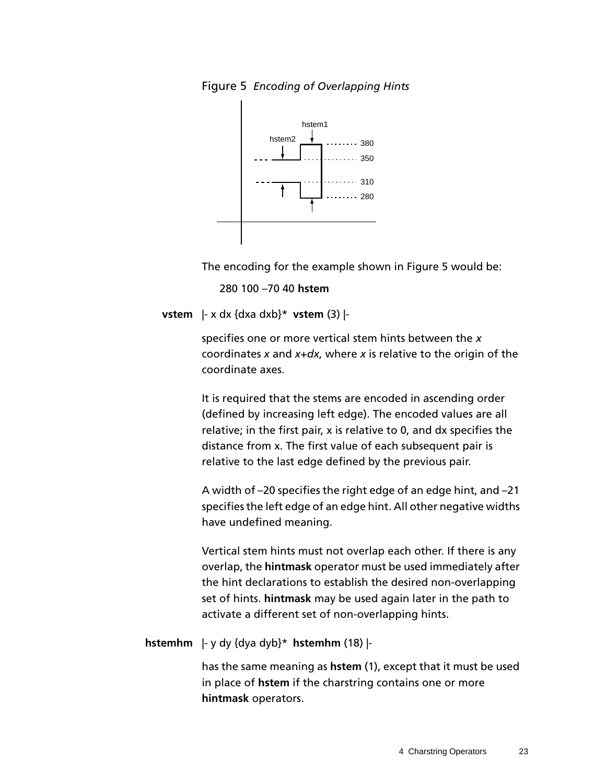<span id="page-22-0"></span>



The encoding for the example shown in [Figure 5](#page-22-0) would be:

280 100 –70 40 **hstem**

**vstem** |- x dx {dxa dxb}\* **vstem** (3) |-

specifies one or more vertical stem hints between the *x* coordinates *x* and *x*+*dx*, where *x* is relative to the origin of the coordinate axes.

It is required that the stems are encoded in ascending order (defined by increasing left edge). The encoded values are all relative; in the first pair, x is relative to 0, and dx specifies the distance from x. The first value of each subsequent pair is relative to the last edge defined by the previous pair.

A width of –20 specifies the right edge of an edge hint, and –21 specifies the left edge of an edge hint. All other negative widths have undefined meaning.

Vertical stem hints must not overlap each other. If there is any overlap, the **hintmask** operator must be used immediately after the hint declarations to establish the desired non-overlapping set of hints. **hintmask** may be used again later in the path to activate a different set of non-overlapping hints.

**hstemhm** |- y dy {dya dyb}\* **hstemhm** (18) |-

has the same meaning as **hstem** (1), except that it must be used in place of **hstem** if the charstring contains one or more **hintmask** operators.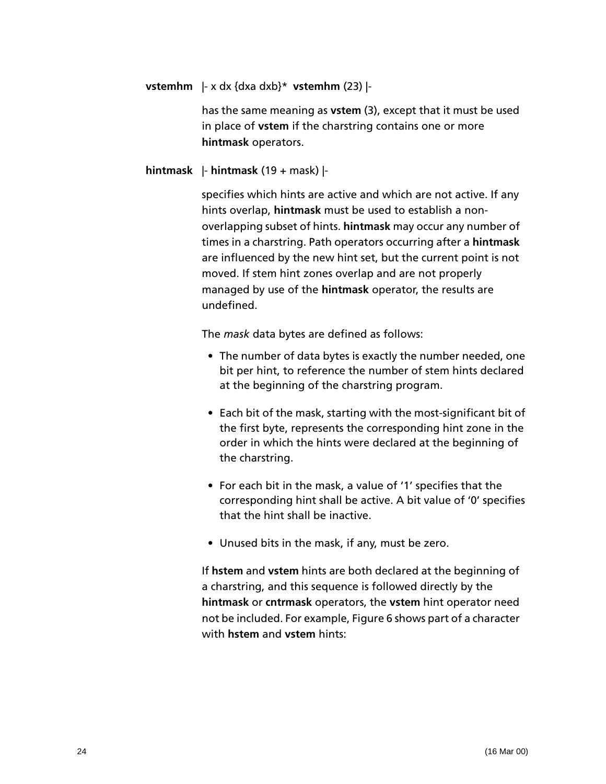**vstemhm** |- x dx {dxa dxb}\* **vstemhm** (23) |-

has the same meaning as **vstem** (3), except that it must be used in place of **vstem** if the charstring contains one or more **hintmask** operators.

#### **hintmask** |- **hintmask** (19 + mask) |-

specifies which hints are active and which are not active. If any hints overlap, **hintmask** must be used to establish a nonoverlapping subset of hints. **hintmask** may occur any number of times in a charstring. Path operators occurring after a **hintmask** are influenced by the new hint set, but the current point is not moved. If stem hint zones overlap and are not properly managed by use of the **hintmask** operator, the results are undefined.

The *mask* data bytes are defined as follows:

- The number of data bytes is exactly the number needed, one bit per hint, to reference the number of stem hints declared at the beginning of the charstring program.
- Each bit of the mask, starting with the most-significant bit of the first byte, represents the corresponding hint zone in the order in which the hints were declared at the beginning of the charstring.
- For each bit in the mask, a value of '1' specifies that the corresponding hint shall be active. A bit value of '0' specifies that the hint shall be inactive.
- Unused bits in the mask, if any, must be zero.

If **hstem** and **vstem** hints are both declared at the beginning of a charstring, and this sequence is followed directly by the **hintmask** or **cntrmask** operators, the **vstem** hint operator need not be included. For example, [Figure 6](#page-24-0) shows part of a character with **hstem** and **vstem** hints: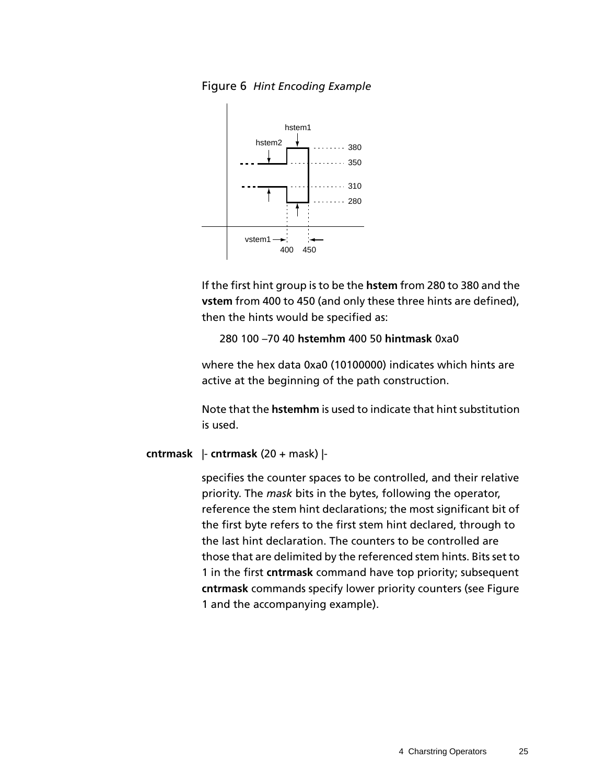<span id="page-24-0"></span>



If the first hint group is to be the **hstem** from 280 to 380 and the **vstem** from 400 to 450 (and only these three hints are defined), then the hints would be specified as:

280 100 –70 40 **hstemhm** 400 50 **hintmask** 0xa0

where the hex data 0xa0 (10100000) indicates which hints are active at the beginning of the path construction.

Note that the **hstemhm** is used to indicate that hint substitution is used.

#### **cntrmask** |- **cntrmask** (20 + mask) |-

specifies the counter spaces to be controlled, and their relative priority. The *mask* bits in the bytes, following the operator, reference the stem hint declarations; the most significant bit of the first byte refers to the first stem hint declared, through to the last hint declaration. The counters to be controlled are those that are delimited by the referenced stem hints. Bits set to 1 in the first **cntrmask** command have top priority; subsequent **cntrmask** commands specify lower priority counters (see [Figure](#page-7-1)  [1](#page-7-1) and the accompanying example).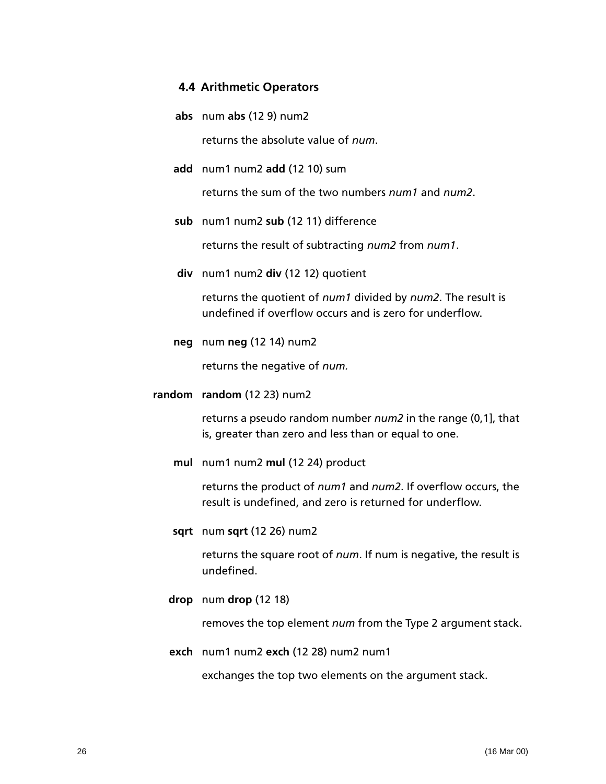#### <span id="page-25-0"></span>**4.4 Arithmetic Operators**

- **abs** num **abs** (12 9) num2 returns the absolute value of *num*.
- **add** num1 num2 **add** (12 10) sum

returns the sum of the two numbers *num1* and *num2*.

**sub** num1 num2 **sub** (12 11) difference

returns the result of subtracting *num2* from *num1*.

**div** num1 num2 **div** (12 12) quotient

returns the quotient of *num1* divided by *num2*. The result is undefined if overflow occurs and is zero for underflow.

**neg** num **neg** (12 14) num2

returns the negative of *num.*

**random random** (12 23) num2

returns a pseudo random number *num2* in the range (0,1], that is, greater than zero and less than or equal to one.

**mul** num1 num2 **mul** (12 24) product

returns the product of *num1* and *num2*. If overflow occurs, the result is undefined, and zero is returned for underflow.

**sqrt** num **sqrt** (12 26) num2

returns the square root of *num*. If num is negative, the result is undefined.

**drop** num **drop** (12 18)

removes the top element *num* from the Type 2 argument stack.

**exch** num1 num2 **exch** (12 28) num2 num1

exchanges the top two elements on the argument stack.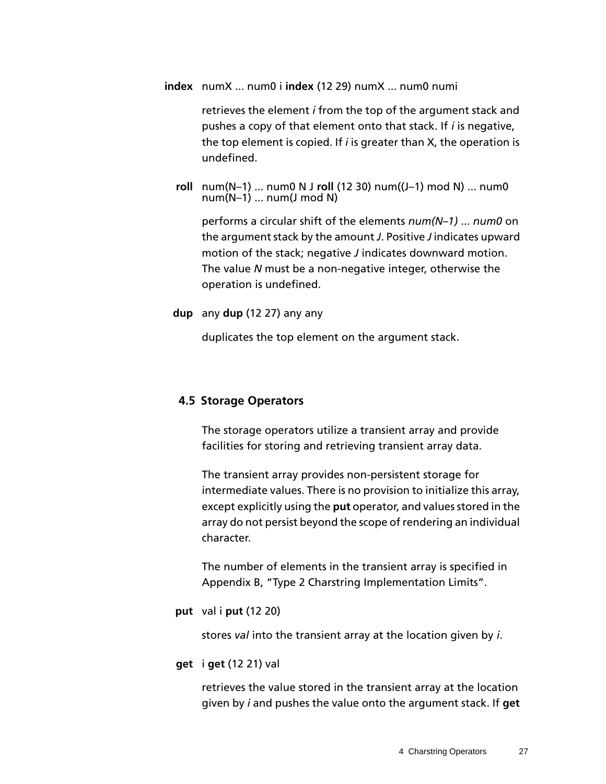**index** numX ... num0 i **index** (12 29) numX ... num0 numi

retrieves the element *i* from the top of the argument stack and pushes a copy of that element onto that stack. If *i* is negative, the top element is copied. If *i* is greater than X, the operation is undefined.

**roll** num(N–1) ... num0 N J **roll** (12 30) num((J–1) mod N) ... num0  $num(N-1)$  ... num(J mod N)

performs a circular shift of the elements *num(N–1)* ... *num0* on the argument stack by the amount *J*. Positive *J* indicates upward motion of the stack; negative *J* indicates downward motion. The value *N* must be a non-negative integer, otherwise the operation is undefined.

#### **dup** any **dup** (12 27) any any

duplicates the top element on the argument stack.

#### <span id="page-26-0"></span>**4.5 Storage Operators**

The storage operators utilize a transient array and provide facilities for storing and retrieving transient array data.

The transient array provides non-persistent storage for intermediate values. There is no provision to initialize this array, except explicitly using the **put** operator, and values stored in the array do not persist beyond the scope of rendering an individual character.

The number of elements in the transient array is specified in Appendix B, "Type 2 Charstring Implementation Limits".

**put** val i **put** (12 20)

stores *val* into the transient array at the location given by *i*.

#### **get** i **get** (12 21) val

retrieves the value stored in the transient array at the location given by *i* and pushes the value onto the argument stack. If **get**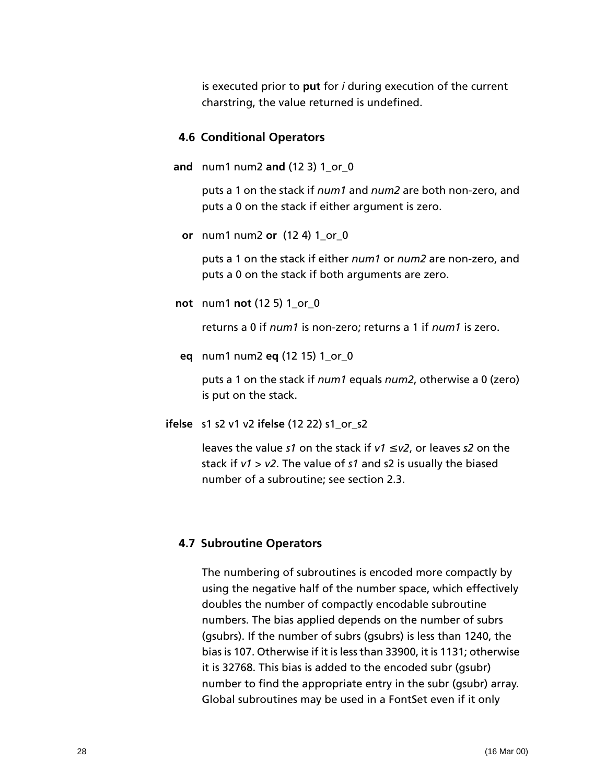is executed prior to **put** for *i* during execution of the current charstring, the value returned is undefined.

#### <span id="page-27-0"></span>**4.6 Conditional Operators**

**and** num1 num2 **and** (12 3) 1\_or\_0

puts a 1 on the stack if *num1* and *num2* are both non-zero, and puts a 0 on the stack if either argument is zero.

**or** num1 num2 **or** (12 4) 1\_or\_0

puts a 1 on the stack if either *num1* or *num2* are non-zero, and puts a 0 on the stack if both arguments are zero.

**not** num1 **not** (12 5) 1\_or\_0

returns a 0 if *num1* is non-zero; returns a 1 if *num1* is zero.

**eq** num1 num2 **eq** (12 15) 1\_or\_0

puts a 1 on the stack if *num1* equals *num2*, otherwise a 0 (zero) is put on the stack.

**ifelse** s1 s2 v1 v2 **ifelse** (12 22) s1\_or\_s2

leaves the value *s1* on the stack if *v1* ≤ *v2*, or leaves *s2* on the stack if *v1* > *v2*. The value of *s1* and s2 is usually the biased number of a subroutine; see [section 2.3.](#page-8-0)

#### <span id="page-27-1"></span>**4.7 Subroutine Operators**

The numbering of subroutines is encoded more compactly by using the negative half of the number space, which effectively doubles the number of compactly encodable subroutine numbers. The bias applied depends on the number of subrs (gsubrs). If the number of subrs (gsubrs) is less than 1240, the bias is 107. Otherwise if it is less than 33900, it is 1131; otherwise it is 32768. This bias is added to the encoded subr (gsubr) number to find the appropriate entry in the subr (gsubr) array. Global subroutines may be used in a FontSet even if it only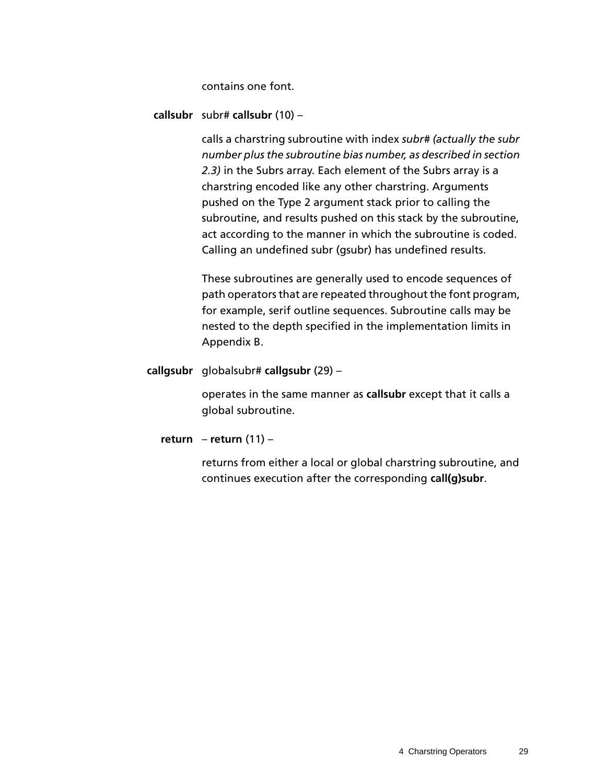contains one font.

**callsubr** subr# **callsubr** (10) –

calls a charstring subroutine with index *subr# (actually the subr number plus the subroutine bias number, as described in [section](#page-8-0)  [2.3](#page-8-0))* in the Subrs array. Each element of the Subrs array is a charstring encoded like any other charstring. Arguments pushed on the Type 2 argument stack prior to calling the subroutine, and results pushed on this stack by the subroutine, act according to the manner in which the subroutine is coded. Calling an undefined subr (gsubr) has undefined results.

These subroutines are generally used to encode sequences of path operators that are repeated throughout the font program, for example, serif outline sequences. Subroutine calls may be nested to the depth specified in the implementation limits in Appendix B.

**callgsubr** globalsubr# **callgsubr** (29) –

operates in the same manner as **callsubr** except that it calls a global subroutine.

**return** – **return** (11) –

returns from either a local or global charstring subroutine, and continues execution after the corresponding **call(g)subr**.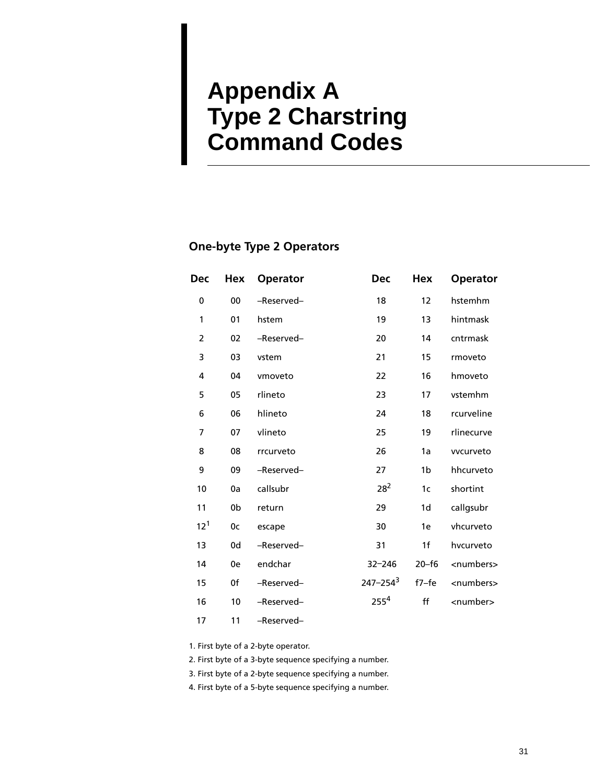## <span id="page-30-0"></span>**Appendix A Type 2 Charstring Command Codes**

### **One-byte Type 2 Operators**

| Dec             | Hex | <b>Operator</b> | <b>Dec</b>       | <b>Hex</b>     | <b>Operator</b>     |
|-----------------|-----|-----------------|------------------|----------------|---------------------|
| 0               | 00  | -Reserved-      | 18               | 12             | hstemhm             |
| $\mathbf{1}$    | 01  | hstem           | 19               | 13             | hintmask            |
| $\overline{2}$  | 02  | -Reserved-      | 20               | 14             | cntrmask            |
| 3               | 03  | vstem           | 21               | 15             | rmoveto             |
| 4               | 04  | vmoveto         | 22               | 16             | hmoveto             |
| 5               | 05  | rlineto         | 23               | 17             | vstemhm             |
| 6               | 06  | hlineto         | 24               | 18             | rcurveline          |
| $\overline{7}$  | 07  | vlineto         | 25               | 19             | rlinecurve          |
| 8               | 08  | rrcurveto       | 26               | 1a             | vvcurveto           |
| 9               | 09  | -Reserved-      | 27               | 1b             | hhcurveto           |
| 10              | 0a  | callsubr        | $28^{2}$         | 1 <sub>c</sub> | shortint            |
| 11              | 0b  | return          | 29               | 1d             | callgsubr           |
| 12 <sup>1</sup> | 0c  | escape          | 30               | 1e             | vhcurveto           |
| 13              | 0d  | -Reserved-      | 31               | 1 <sub>f</sub> | hvcurveto           |
| 14              | 0e  | endchar         | $32 - 246$       | $20 - f6$      | <numbers></numbers> |
| 15              | 0f  | -Reserved-      | $247 - 254^3$    | $f7-fe$        | <numbers></numbers> |
| 16              | 10  | -Reserved-      | 255 <sup>4</sup> | ff             | <number></number>   |
| 17              | 11  | -Reserved-      |                  |                |                     |

1. First byte of a 2-byte operator.

2. First byte of a 3-byte sequence specifying a number.

3. First byte of a 2-byte sequence specifying a number.

4. First byte of a 5-byte sequence specifying a number.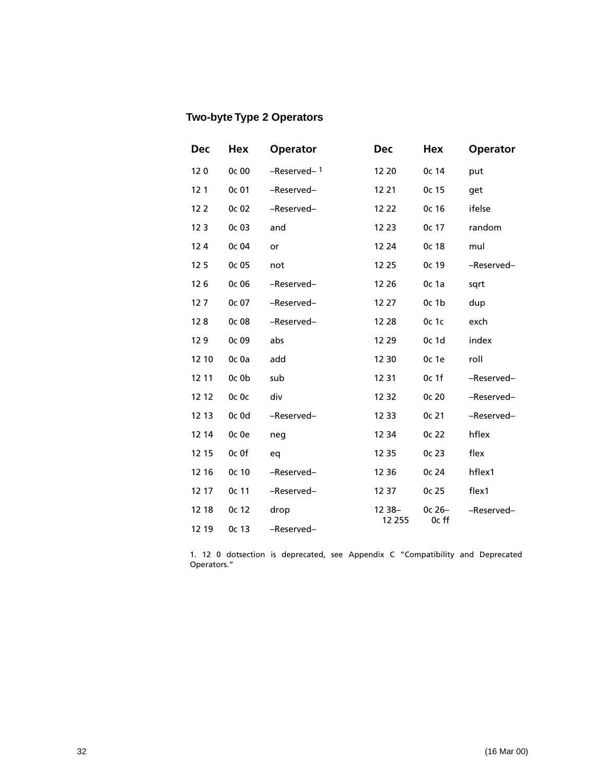### **Two-byte Type 2 Operators**

| <b>Dec</b>      | Hex   | <b>Operator</b> | <b>Dec</b> | Hex               | <b>Operator</b> |
|-----------------|-------|-----------------|------------|-------------------|-----------------|
| 120             | 0c 00 | -Reserved-1     | 12 20      | 0c 14             | put             |
| 12 <sub>1</sub> | 0c 01 | -Reserved-      | 12 21      | 0c 15             | get             |
| 12 <sub>2</sub> | Oc 02 | -Reserved-      | 12 22      | 0c 16             | ifelse          |
| 12 <sub>3</sub> | 0c 03 | and             | 12 23      | 0c 17             | random          |
| 124             | 0c 04 | or              | 12 24      | 0c 18             | mul             |
| 125             | 0c 05 | not             | 12 25      | 0c 19             | -Reserved-      |
| 126             | 0c 06 | -Reserved-      | 12 26      | 0c 1a             | sqrt            |
| 127             | 0c 07 | -Reserved-      | 12 27      | 0c <sub>1b</sub>  | dup             |
| 128             | 0c 08 | -Reserved-      | 12 28      | 0c 1c             | exch            |
| 129             | 0c 09 | abs             | 12 29      | 0c 1d             | index           |
| 12 10           | Oc Oa | add             | 12 30      | 0c 1e             | roll            |
| 12 11           | Oc Ob | sub             | 12 31      | 0c <sub>1</sub> f | -Reserved-      |
| 12 12           | Oc Oc | div             | 12 32      | 0c 20             | -Reserved-      |
| 12 13           | Oc Od | -Reserved-      | 12 33      | 0c 21             | -Reserved-      |
| 12 14           | Oc Oe | neg             | 12 34      | 0c 22             | hflex           |
| 12 15           | Oc Of | eq              | 12 35      | 0c 23             | flex            |
| 12 16           | 0c 10 | -Reserved-      | 12 36      | 0c 24             | hflex1          |
| 12 17           | 0c 11 | -Reserved-      | 12 37      | 0c 25             | flex1           |
| 12 18           | 0c 12 | drop            | $1238 -$   | $0c26-$           | -Reserved-      |
| 12 19           | 0c 13 | -Reserved-      | 12 255     | 0c ff             |                 |

1. 12 0 dotsection is deprecated, see Appendix C "Compatibility and Deprecated Operators."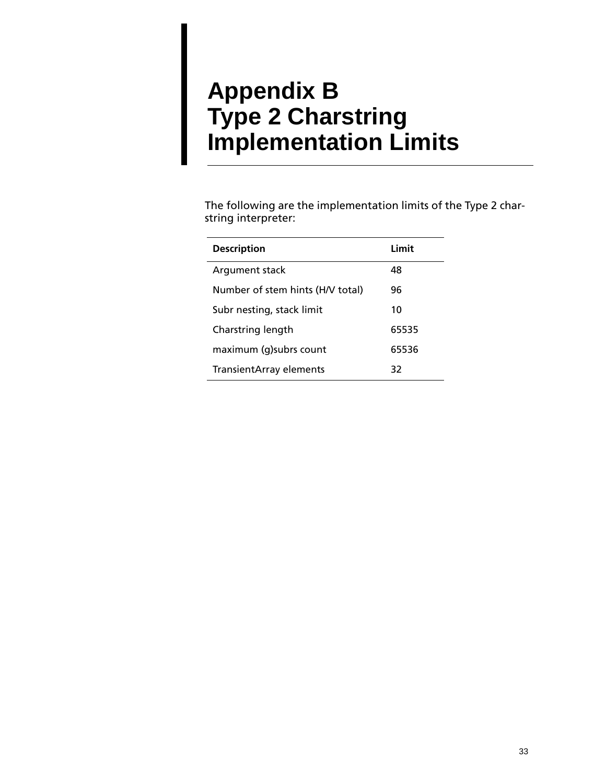## <span id="page-32-0"></span>**Appendix B Type 2 Charstring Implementation Limits**

The following are the implementation limits of the Type 2 charstring interpreter:

| <b>Description</b>               | Limit |  |
|----------------------------------|-------|--|
| Argument stack                   | 48    |  |
| Number of stem hints (H/V total) | 96    |  |
| Subr nesting, stack limit        | 10    |  |
| Charstring length                | 65535 |  |
| maximum (g) subrs count          | 65536 |  |
| TransientArray elements          | 32    |  |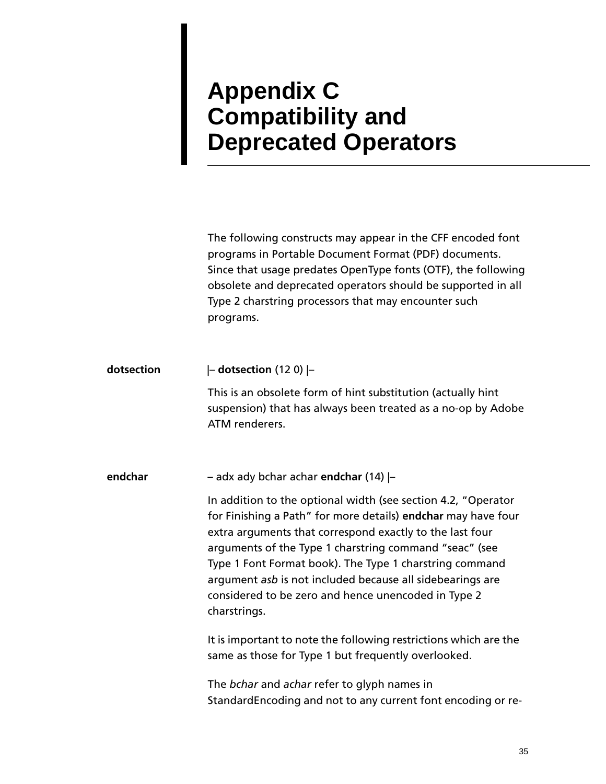# <span id="page-34-0"></span>**Appendix C Compatibility and Deprecated Operators**

The following constructs may appear in the CFF encoded font programs in Portable Document Format (PDF) documents. Since that usage predates OpenType fonts (OTF), the following obsolete and deprecated operators should be supported in all Type 2 charstring processors that may encounter such programs.

**dotsection** |– **dotsection** (12 0) |–

This is an obsolete form of hint substitution (actually hint suspension) that has always been treated as a no-op by Adobe ATM renderers.

**endchar –** adx ady bchar achar **endchar** (14) |–

In addition to the optional width (see [section 4.2, "Operator](#page-20-2)  [for Finishing a Path](#page-20-2)" for more details) **endchar** may have four extra arguments that correspond exactly to the last four arguments of the Type 1 charstring command "seac" (see Type 1 Font Format book). The Type 1 charstring command argument *asb* is not included because all sidebearings are considered to be zero and hence unencoded in Type 2 charstrings.

It is important to note the following restrictions which are the same as those for Type 1 but frequently overlooked.

The *bchar* and *achar* refer to glyph names in StandardEncoding and not to any current font encoding or re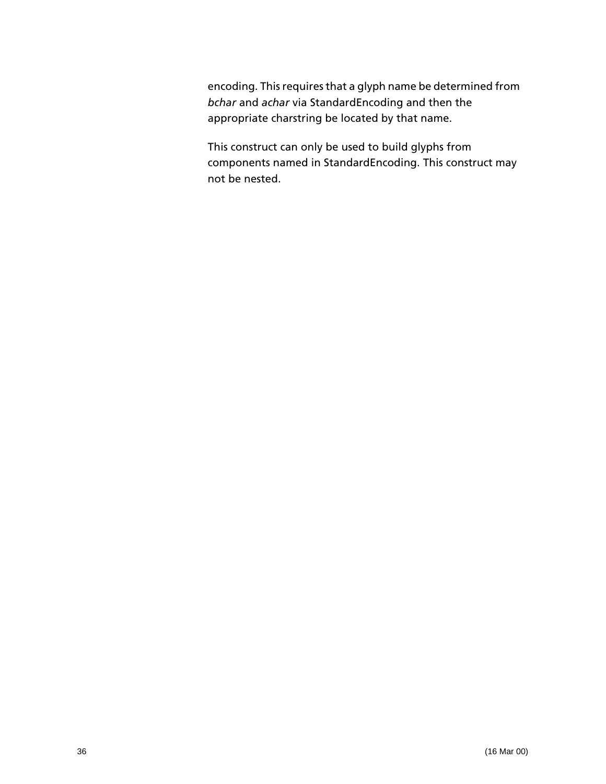encoding. This requires that a glyph name be determined from *bchar* and *achar* via StandardEncoding and then the appropriate charstring be located by that name.

This construct can only be used to build glyphs from components named in StandardEncoding. This construct may not be nested.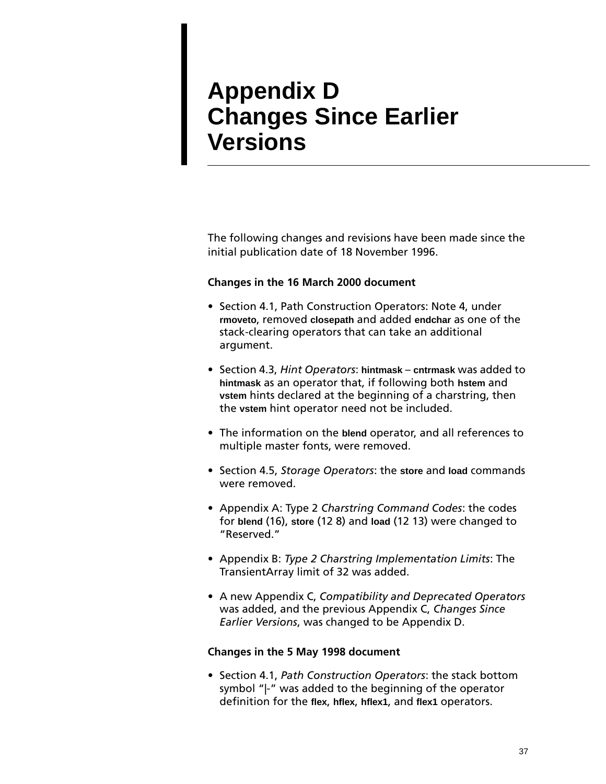## <span id="page-36-0"></span>**Appendix D Changes Since Earlier Versions**

The following changes and revisions have been made since the initial publication date of 18 November 1996.

#### **Changes in the 16 March 2000 document**

- Section 4.1, Path Construction Operators: Note 4, under **rmoveto**, removed **closepath** and added **endchar** as one of the stack-clearing operators that can take an additional argument.
- Section 4.3, *Hint Operators*: **hintmask cntrmask** was added to **hintmask** as an operator that, if following both **hstem** and **vstem** hints declared at the beginning of a charstring, then the **vstem** hint operator need not be included.
- The information on the **blend** operator, and all references to multiple master fonts, were removed.
- Section 4.5, *Storage Operators*: the **store** and **load** commands were removed.
- Appendix A: Type 2 *Charstring Command Codes*: the codes for **blend** (16), **store** (12 8) and **load** (12 13) were changed to "Reserved."
- Appendix B: *Type 2 Charstring Implementation Limits*: The TransientArray limit of 32 was added.
- A new Appendix C, *Compatibility and Deprecated Operators* was added, and the previous Appendix C, *Changes Since Earlier Versions*, was changed to be Appendix D.

#### **Changes in the 5 May 1998 document**

• Section 4.1, *Path Construction Operators*: the stack bottom symbol "|-" was added to the beginning of the operator definition for the **flex**, **hflex**, **hflex1**, and **flex1** operators.